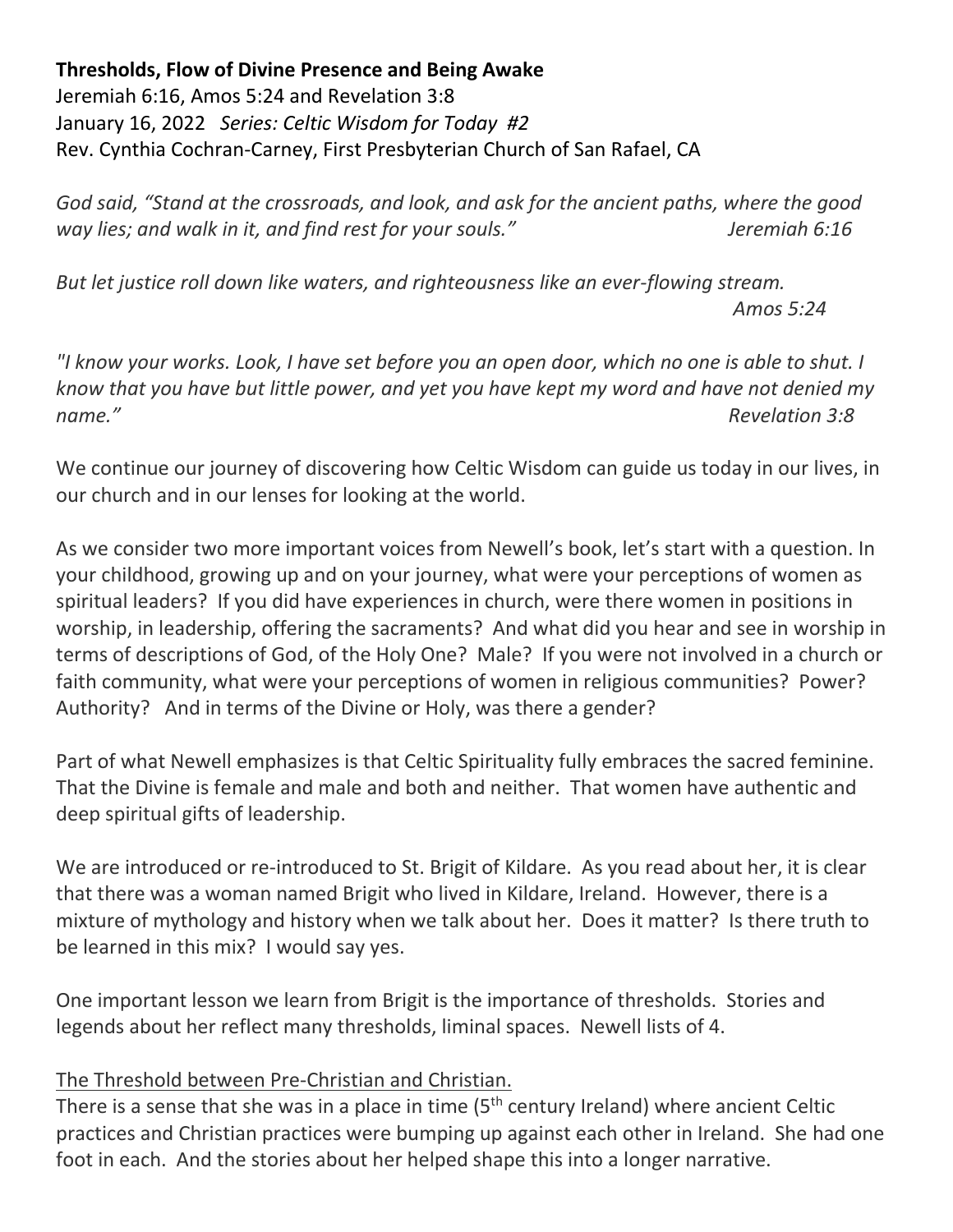**Thresholds, Flow of Divine Presence and Being Awake**

Jeremiah 6:16, Amos 5:24 and Revelation 3:8 January 16, 2022 *Series: Celtic Wisdom for Today #2* Rev. Cynthia Cochran-Carney, First Presbyterian Church of San Rafael, CA

*God said, "Stand at the crossroads, and look, and ask for the ancient paths, where the good way lies; and walk in it, and find rest for your souls." Jeremiah 6:16*

*But let justice roll down like waters, and righteousness like an ever-flowing stream. Amos 5:24*

*"I know your works. Look, I have set before you an open door, which no one is able to shut. I know that you have but little power, and yet you have kept my word and have not denied my name." Revelation 3:8*

We continue our journey of discovering how Celtic Wisdom can guide us today in our lives, in our church and in our lenses for looking at the world.

As we consider two more important voices from Newell's book, let's start with a question. In your childhood, growing up and on your journey, what were your perceptions of women as spiritual leaders? If you did have experiences in church, were there women in positions in worship, in leadership, offering the sacraments? And what did you hear and see in worship in terms of descriptions of God, of the Holy One? Male? If you were not involved in a church or faith community, what were your perceptions of women in religious communities? Power? Authority? And in terms of the Divine or Holy, was there a gender?

Part of what Newell emphasizes is that Celtic Spirituality fully embraces the sacred feminine. That the Divine is female and male and both and neither. That women have authentic and deep spiritual gifts of leadership.

We are introduced or re-introduced to St. Brigit of Kildare. As you read about her, it is clear that there was a woman named Brigit who lived in Kildare, Ireland. However, there is a mixture of mythology and history when we talk about her. Does it matter? Is there truth to be learned in this mix? I would say yes.

One important lesson we learn from Brigit is the importance of thresholds. Stories and legends about her reflect many thresholds, liminal spaces. Newell lists of 4.

## The Threshold between Pre-Christian and Christian.

There is a sense that she was in a place in time (5<sup>th</sup> century Ireland) where ancient Celtic practices and Christian practices were bumping up against each other in Ireland. She had one foot in each. And the stories about her helped shape this into a longer narrative.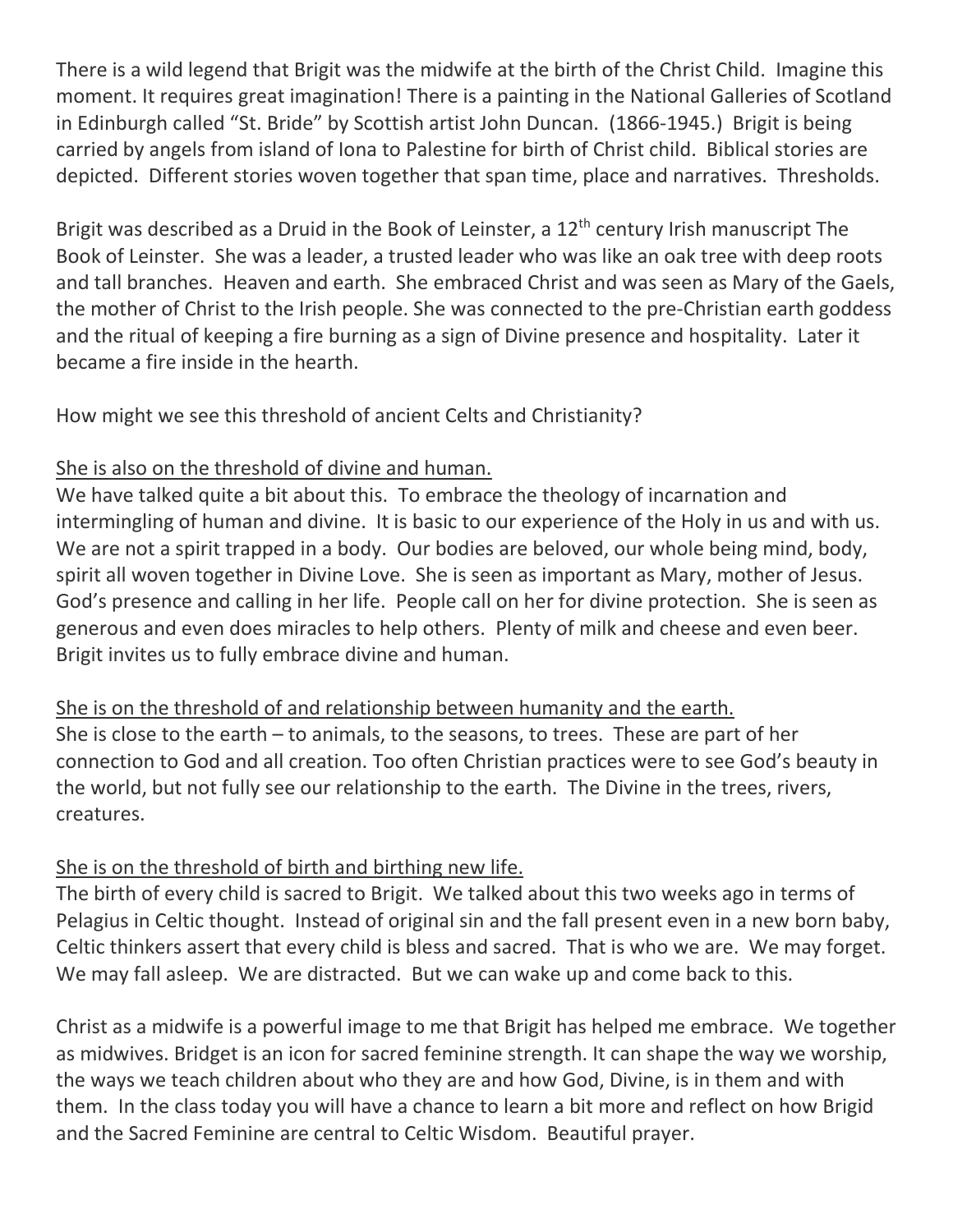There is a wild legend that Brigit was the midwife at the birth of the Christ Child. Imagine this moment. It requires great imagination! There is a painting in the National Galleries of Scotland in Edinburgh called "St. Bride" by Scottish artist John Duncan. (1866-1945.) Brigit is being carried by angels from island of Iona to Palestine for birth of Christ child. Biblical stories are depicted. Different stories woven together that span time, place and narratives. Thresholds.

Brigit was described as a Druid in the Book of Leinster, a  $12<sup>th</sup>$  century Irish manuscript The Book of Leinster. She was a leader, a trusted leader who was like an oak tree with deep roots and tall branches. Heaven and earth. She embraced Christ and was seen as Mary of the Gaels, the mother of Christ to the Irish people. She was connected to the pre-Christian earth goddess and the ritual of keeping a fire burning as a sign of Divine presence and hospitality. Later it became a fire inside in the hearth.

How might we see this threshold of ancient Celts and Christianity?

## She is also on the threshold of divine and human.

We have talked quite a bit about this. To embrace the theology of incarnation and intermingling of human and divine. It is basic to our experience of the Holy in us and with us. We are not a spirit trapped in a body. Our bodies are beloved, our whole being mind, body, spirit all woven together in Divine Love. She is seen as important as Mary, mother of Jesus. God's presence and calling in her life. People call on her for divine protection. She is seen as generous and even does miracles to help others. Plenty of milk and cheese and even beer. Brigit invites us to fully embrace divine and human.

She is on the threshold of and relationship between humanity and the earth. She is close to the earth – to animals, to the seasons, to trees. These are part of her connection to God and all creation. Too often Christian practices were to see God's beauty in the world, but not fully see our relationship to the earth. The Divine in the trees, rivers, creatures.

## She is on the threshold of birth and birthing new life.

The birth of every child is sacred to Brigit. We talked about this two weeks ago in terms of Pelagius in Celtic thought. Instead of original sin and the fall present even in a new born baby, Celtic thinkers assert that every child is bless and sacred. That is who we are. We may forget. We may fall asleep. We are distracted. But we can wake up and come back to this.

Christ as a midwife is a powerful image to me that Brigit has helped me embrace. We together as midwives. Bridget is an icon for sacred feminine strength. It can shape the way we worship, the ways we teach children about who they are and how God, Divine, is in them and with them. In the class today you will have a chance to learn a bit more and reflect on how Brigid and the Sacred Feminine are central to Celtic Wisdom. Beautiful prayer.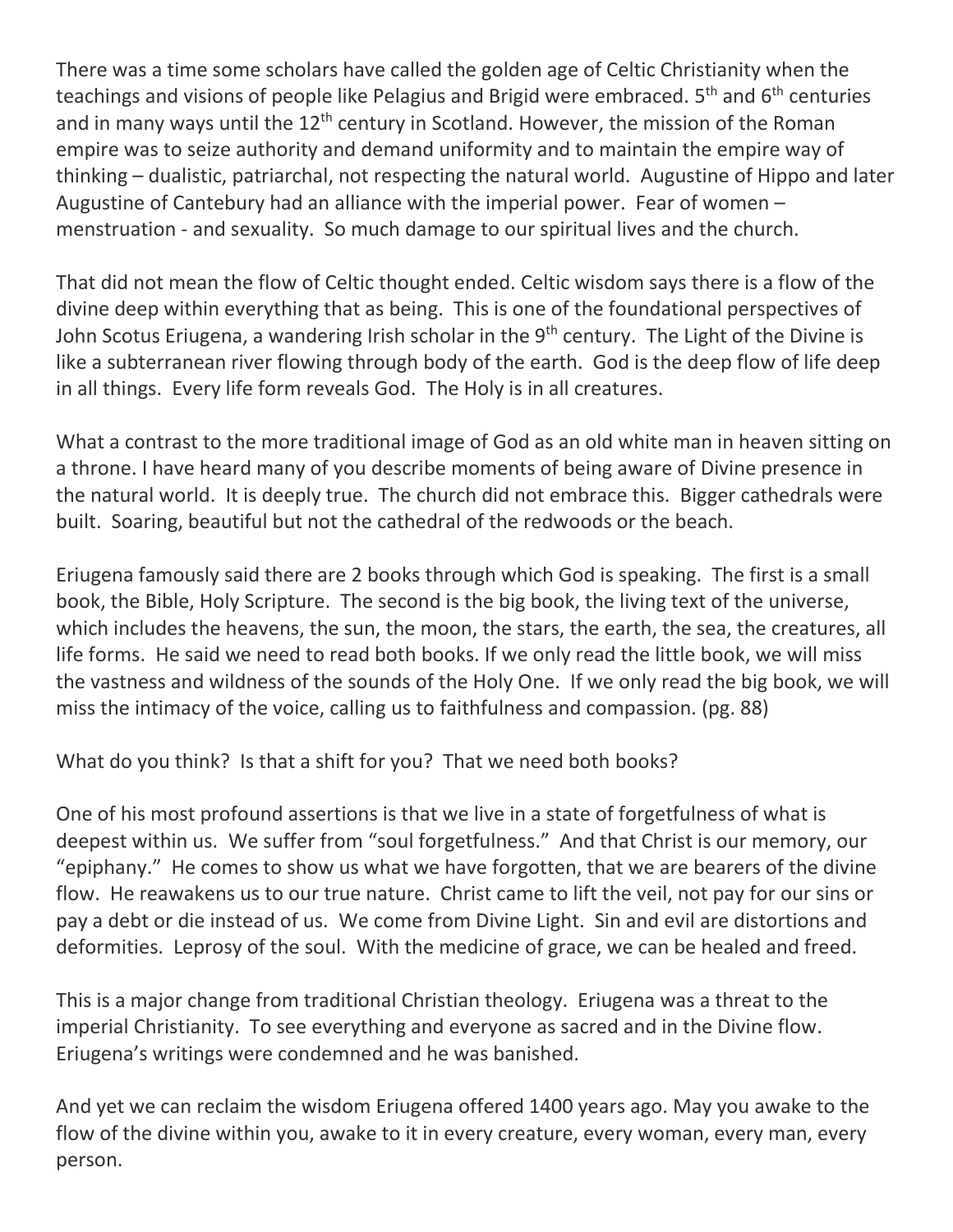There was a time some scholars have called the golden age of Celtic Christianity when the teachings and visions of people like Pelagius and Brigid were embraced. 5<sup>th</sup> and 6<sup>th</sup> centuries and in many ways until the  $12<sup>th</sup>$  century in Scotland. However, the mission of the Roman empire was to seize authority and demand uniformity and to maintain the empire way of thinking – dualistic, patriarchal, not respecting the natural world. Augustine of Hippo and later Augustine of Cantebury had an alliance with the imperial power. Fear of women – menstruation - and sexuality. So much damage to our spiritual lives and the church.

That did not mean the flow of Celtic thought ended. Celtic wisdom says there is a flow of the divine deep within everything that as being. This is one of the foundational perspectives of John Scotus Eriugena, a wandering Irish scholar in the 9<sup>th</sup> century. The Light of the Divine is like a subterranean river flowing through body of the earth. God is the deep flow of life deep in all things. Every life form reveals God. The Holy is in all creatures.

What a contrast to the more traditional image of God as an old white man in heaven sitting on a throne. I have heard many of you describe moments of being aware of Divine presence in the natural world. It is deeply true. The church did not embrace this. Bigger cathedrals were built. Soaring, beautiful but not the cathedral of the redwoods or the beach.

Eriugena famously said there are 2 books through which God is speaking. The first is a small book, the Bible, Holy Scripture. The second is the big book, the living text of the universe, which includes the heavens, the sun, the moon, the stars, the earth, the sea, the creatures, all life forms. He said we need to read both books. If we only read the little book, we will miss the vastness and wildness of the sounds of the Holy One. If we only read the big book, we will miss the intimacy of the voice, calling us to faithfulness and compassion. (pg. 88)

What do you think? Is that a shift for you? That we need both books?

One of his most profound assertions is that we live in a state of forgetfulness of what is deepest within us. We suffer from "soul forgetfulness." And that Christ is our memory, our "epiphany." He comes to show us what we have forgotten, that we are bearers of the divine flow. He reawakens us to our true nature. Christ came to lift the veil, not pay for our sins or pay a debt or die instead of us. We come from Divine Light. Sin and evil are distortions and deformities. Leprosy of the soul. With the medicine of grace, we can be healed and freed.

This is a major change from traditional Christian theology. Eriugena was a threat to the imperial Christianity. To see everything and everyone as sacred and in the Divine flow. Eriugena's writings were condemned and he was banished.

And yet we can reclaim the wisdom Eriugena offered 1400 years ago. May you awake to the flow of the divine within you, awake to it in every creature, every woman, every man, every person.